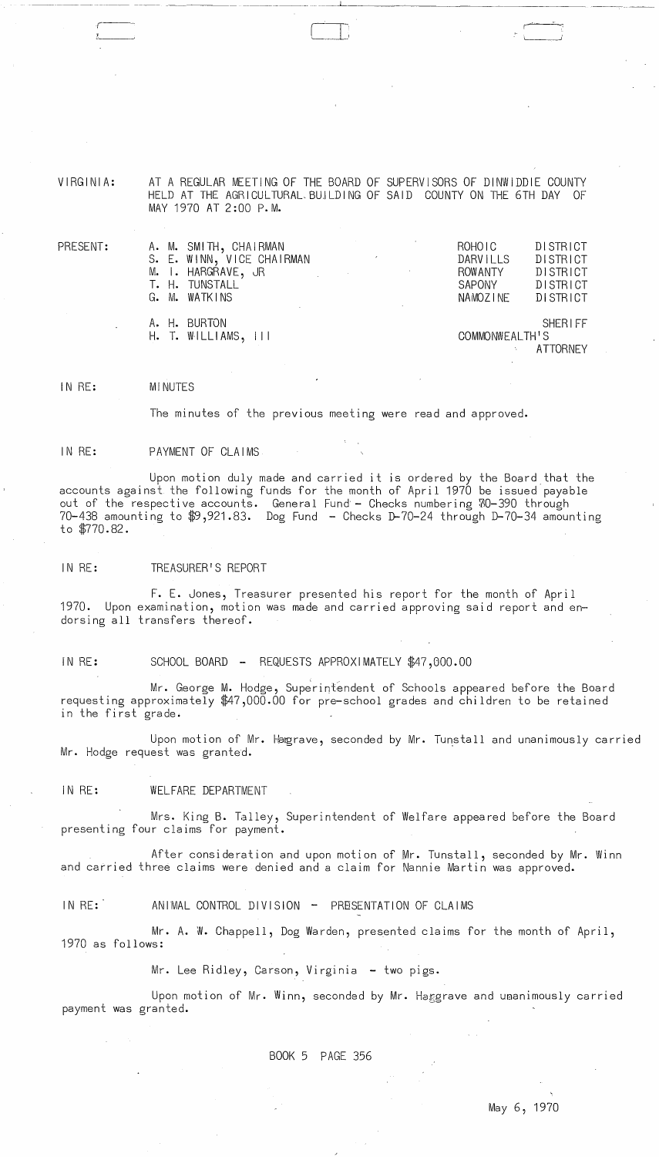VIRGINIA: AT A REGULAR MEETING OF THE BOARD OF SUPERVISORS OF DINWIDDIE COUNTY HELD AT THE AGRICULTURAL BUILDING OF SAID COUNTY ON THE 6TH DAY OF MAY 1970 AT 2:00 p. M.

| $\mathsf{PRESENT:}$ | A. M. SMITH, CHAIRMAN<br>S. E. WINN, VICE CHAIRMAN<br>M. I. HARGRAVE, JR<br>T. H. TUNSTALL | <b>Contract Contract</b><br>$\label{eq:2.1} \frac{1}{\sqrt{2}}\left(\frac{1}{\sqrt{2}}\right)^{2} \left(\frac{1}{\sqrt{2}}\right)^{2} \left(\frac{1}{\sqrt{2}}\right)^{2} \left(\frac{1}{\sqrt{2}}\right)^{2} \left(\frac{1}{\sqrt{2}}\right)^{2} \left(\frac{1}{\sqrt{2}}\right)^{2} \left(\frac{1}{\sqrt{2}}\right)^{2} \left(\frac{1}{\sqrt{2}}\right)^{2} \left(\frac{1}{\sqrt{2}}\right)^{2} \left(\frac{1}{\sqrt{2}}\right)^{2} \left(\frac{1}{\sqrt{2}}\right)^{2} \left(\$ | ROHO <sub>IC</sub><br><b>DARVILLS</b><br>ROWANTY<br>SAPONY | DISTRICT<br>DISTRICT<br>DISTRICT<br>DISTRICT |
|---------------------|--------------------------------------------------------------------------------------------|------------------------------------------------------------------------------------------------------------------------------------------------------------------------------------------------------------------------------------------------------------------------------------------------------------------------------------------------------------------------------------------------------------------------------------------------------------------------------------|------------------------------------------------------------|----------------------------------------------|
|                     | G. M. WATKINS                                                                              |                                                                                                                                                                                                                                                                                                                                                                                                                                                                                    | NAMOZINE                                                   | DISTRICT                                     |
|                     | A. H. BURTON<br>$H.$ T. WILLIAMS, $   $                                                    |                                                                                                                                                                                                                                                                                                                                                                                                                                                                                    | COMMONWEALTH'S                                             | <b>SHERIFF</b><br>ATTORNEY                   |

# IN RE: MINUTES

The minutes of the previous meeting were read and approved.

# IN RE: PAYMENT OF CLAIMS

Upon motion duly made and carried it is ordered by the Board that the accounts against the following funds for the month of April 1970 be issued payable out of the respective accounts. General Fund - Checks numbering 70-390 through 70-438 amounting to \$9,921.83. Dog Fund - Checks D-70-24 through D-70-34 amounting to \$770.82.

IN RE: TREASURER'S REPORT

F. E. Jones, Treasurer presented his report for the month of April 1970. Upon examination, motion was made and carried approving said report and endorsing all transfers thereof.

IN RE: SCHOOL BOARD - REQUESTS APPROXIMATELY \$47,000.00

.<br>Mr. George M. Hodge, Superintendent of Schools appeared before the Board requesting approximately \$47,000.00 for pre-school grades and children to be retained in the first grade.

Upon motion of Mr. Hagrave, seconded by Mr. Tunstall and unanimously carried Mr. Hodge request was granted.

IN RE: WELFARE DEPARTMENT

 $\Delta\omega_{\rm{eff}}=0.5$ 

Mrs. King B. Talley, Superintendent of Welfare appeared before the Board presenting four claims for payment.

After consideration and upon motion of Mr. Tunstall, seconded by Mr. Winn and carried three claims were denied and a claim for Nannie Martin was approved.

IN RE: ANIMAL CONTROL DIVISION - PRESENTATION OF CLAIMS

Mr. A. W. Chappell, Dog Warden, presented claims for the month of April, 1970 as follows:

Mr. Lee Ridley, Carson, Virginia - two pigs.

Upon motion of Mr. Winn, seconded by Mr. Haggrave and uaanimously carried payment was granted.

BOOK 5 PAGE 356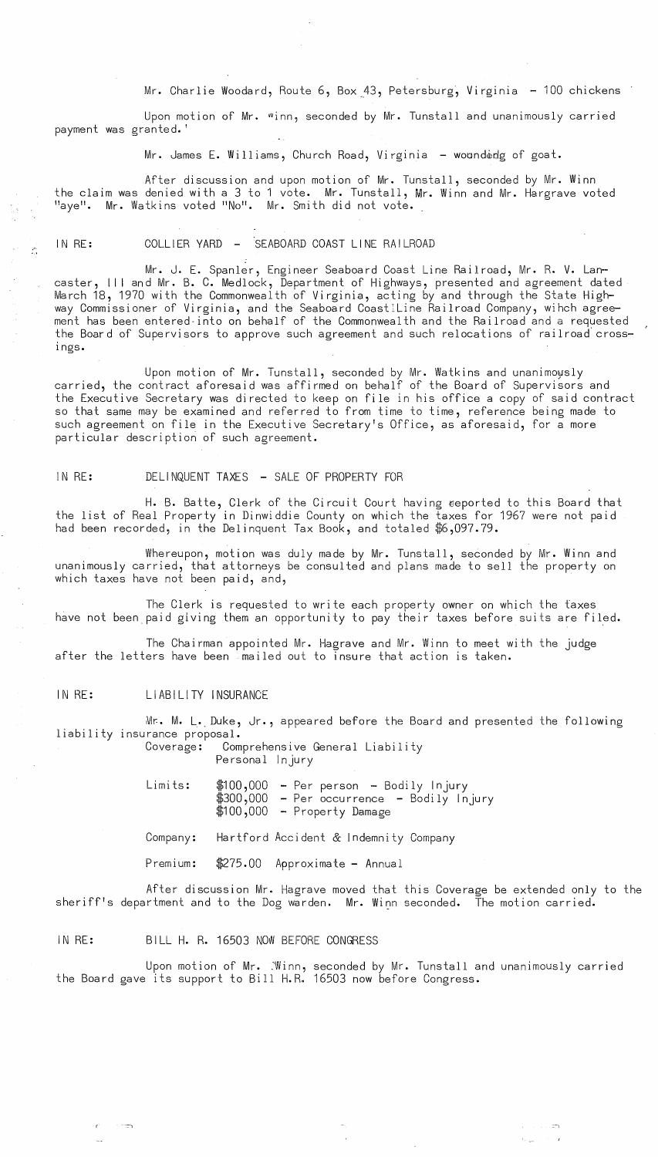Mr. Charlie Woodard, Route 6, Box 43, Petersburg, Virginia - 100 chickens

Upon motion of Mr. "inn, seconded by Mr. Tunstall and unanimously carried payment was granted.'

Mr. James E. Williams, Church Road, Virginia - wounderdg of goat.

After discussion and upon motion of Mr. Tunstall, seconded by Mr. Winn the claim was denied with a 3 to 1 vote. Mr. Tunstall, Mr. Winn and Mr. Hargrave voted<br>"aye". Mr. Watkins voted "No". Mr. Smith did not vote.

## IN RE: COLLIER YARD - 'SEABOARD COAST LINE RAILROAD

Mr. J. E. SpanIer, Engineer Seaboard Coast Line Railroad, Mr. R. V. Lan- caster, III and Mr. B. C. Medlock, Department of Highways, presented and agreement dated March 18, 1970 with the Commonwealth of Virginia, acting by and through the State Highway Commissioner of Virginia, and the Seaboard Coastlline Railroad Company, wihch agreement has been entered into on behalf of the Commonwealth and the Railroad and a requested the Board of Supervisors to approve such agreement and such relocations of railroad cross-Ings.

Upon motion of Mr. Tunstall, seconded by Mr. Watkins and unanimoysly carried, the contract aforesaid was affirmed on behalf of the Board of Supervisors and the Executive Secretary was directed to keep on file in his office a copy of said contract so that same may be examined and referred to from time to time, reference being made to such agreement on file in the Executive Secretary's Office, as aforesaid, for a more particular description of such agreement.

### IN RE: DELINQUENT TAXES - SALE OF PROPERTY FOR

H. B. Batte, Clerk of the Circuit Court having eeported to this Board that the list of Real Property in Dinwiddie County on which the taxes for 1967 were not paid had been recorded, in the Delinquent Tax Book, and totaled \$6,097.79.

Whereupon, motion was duly made by Mr. Tunstall, seconded by Mr. Winn and unanimously carried, that attorneys be consulted and plans made to sell the property on which taxes have not been paid, and,

The Clerk is requested to write each property owner on which the faxes have not been paid giving them an opportunity to pay their taxes before suits are filed.

The Chairman appointed Mr. Hagrave and Mr. Winn to meet with the judge after the letters have been mailed out to insure that action is taken.

#### IN RE: LIABILITY INSURANCE

Mr. M. L. Duke, Jr., appeared before the Board and presented the following liability insurance proposal.

Comprehensive General Liability

Personal Injury

Limits:  $$100,000$  - Per person - Bodily Injury \$300,000 - Per person - Bodily Injury - Per occurrence - Bodily Injury \$100,000 - Property Damage

Company: Hartford Accident & Indemnity Company

Premium: \$275.00 Approximate - Annual

After discussion Mr. Hagrave moved that this Coverage be extended only to the sheriff's department and to the Dog warden. Mr. Winn seconded. The motion carried.

#### IN RE: BILL H. R. 16503 NOW BEFORE CONGRESS

Upon motion of Mr. :Winn, seconded by Mr. Tunstall and unanimously carried the Board gave its support to Bill H.R. 16503 now before Congress.

--::--) ~-\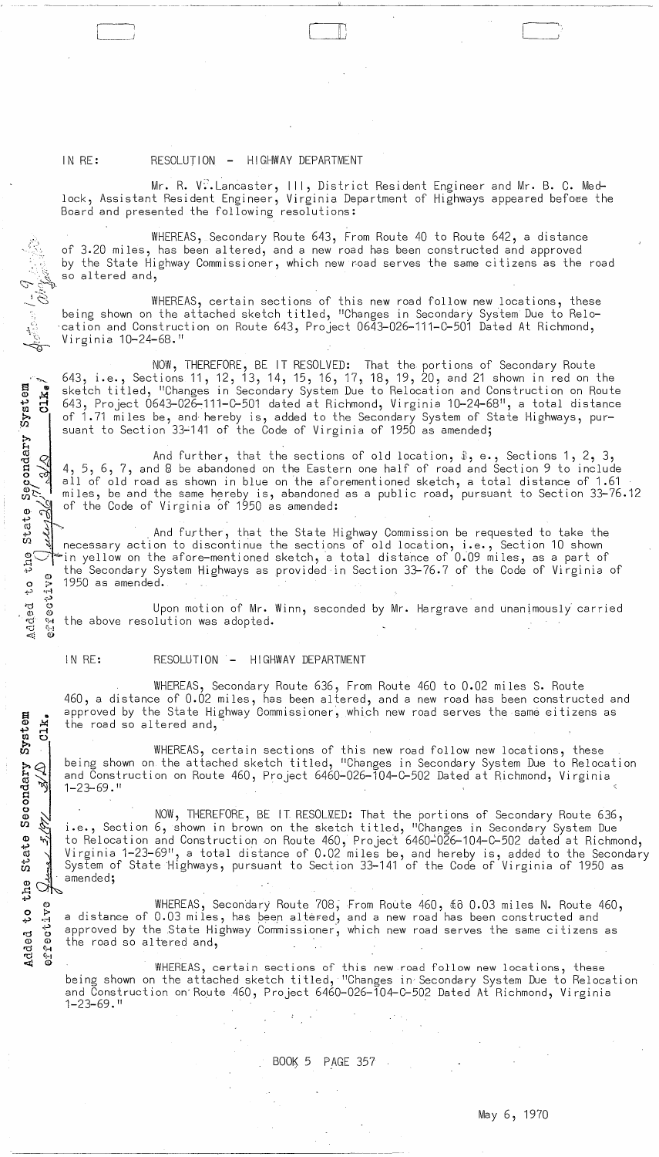# IN RE: RESOLUTION - HIGHWAY DEPARTMENT

 $\tilde{\mathscr{E}}_{\mathscr{F}_{\mathscr{F}}}$ 

» H

~.~ .,-1

,,~(; Q)

System<br>
Clk.

State

ភ្ជ C)  $\circ$   $\,\,\approx$ ~..:> .:-1 .:'" rei 0  $\circ$   $\circ$ rd (+<br>rcj (+i  $\triangleleft$ 

Mr. R. V $\overset{\bullet}{\ldots}$ Lancaster, III, District Resident Engineer and Mr. B. C. Medlock, Assistant Resident Engineer, Virginia Department of Highways appeared befoœe the Board and presented the following resolutions:

II ;

WHEREAS, Secondary Route 643, From Route 40 to Route 642, a distance of 3.20 miles, has been altered, and a new road has been constructed and approved by the State Highway Commissioner, which new road serves the same citizens as the road so altered and,

WHEREAS, certain sections of this new road follow new locations, these being shown on the attached sketch titled, "Changes in Secondary System Due to Relo-'cation and Construction on Route 643, Project 0643-026-111-C-501 Dated At Richmond, Virginia 10-24-68."

NOW, THEREFORE, BE IT RESOLVED: That the portions of Secondary Route 643, i.e., Sections 11, 12, 13, 14, 15, 16, 17, 18, 19, 20, and 21 shown in red on the sketch titled, "Changes in Secondary System Due to Relocation and Construction on Route 643, Project 0643-026-111-C-501 dated at Richmond, Virginia 10-24-68", a total distance of 1.71 miles be, and hereby is, added to the Secondary System of State Highways, pursuant to Section 33~141 of the Code of Virginia of 1950 as amended;

And further, that the sections of old location,  $\hat{x}$ , e., Sections 1, 2, 3, 4, 5, 6, 7, and 8 be abandoned on the Eastern one half of road and Section 9 to include all of old road as shown in blue on the aforementioned sketch, a total distance of 1.61 miles, be and the same hereby is, abandoned as a public road, pursuant to Section 33-76.12 of the Code of Virginia of 1950 as amended:

And further, that the State Highway Commission be requested to take the the section of the continue the sections of old location, i.e., Section 10 shown g $\heartsuit$  in yellow on the afore-mentioned sketch, a total distance of 0.09 miles, as a part of the Secondary System Highways as provided in Section 33-76.7 of the Code of Virginia of<br>1950 as amended.

ective Upon motion of Mr. Winn, seconded by Mr. Hargrave and unanimously carried the above resolution was adopted.

#### IN RE: RESOLUTION - HIGHWAY DEPARTMENT

WHEREAS, Secondary Route 636, From Route 460 to 0.02 miles S. Route 460, a distance of 0.02 miles, has been altered, and a new road has been constructed and approved by the State Highway Commissioner, which new road serves the same citizens as the road so altered and,

it/<br>Seconda<br>Seconda WHEREAS, certain sections of this new road follow new locations, these being shown on the attached sketch titled, "Changes in Secondary System Due to Relocation and Construction on Route 460, Project 6460-026-104-C-502 Dated at Richmond, Virginia 1-23-69. "

NOW, THEREFORE, BE IT RESOLWED: That the portions of Secondary Route 636, i.e., Section 6, shown in brown on the sketch titled, "Changes in Secondary System Due to Relocation and Construction on Route 460, Project 6460~026-104-C-502 dated at Richmond, Virginia 1-23-69", a total distance of 0.02 miles be, and hereby is, added to the Secondary System of State 'Highways, pursuant to Section 33-141 of the Code of Virginia of 1950 as amended;

WHEREAS, Secondary Route 708, From Route 460, \$8 0.03 miles N. Route 460, a distance of 0.03 miles, has been altered, and a new road has been constructed and approved by the State Highway Commissioner', which new road serves the same ci tizens as the road so al tered and,

WHEREAS, certain sections of this new road follow new locations, these being shown on the attached sketch titled, "Changes in Secondary System Due to Relocation and Construction on'Route 460, Project 6460-026-104-C-502 Dated At Richmond, Virginia  $1 - 23 - 69.$  "

# $BOOK$  5 PAGE 357

 $\sim$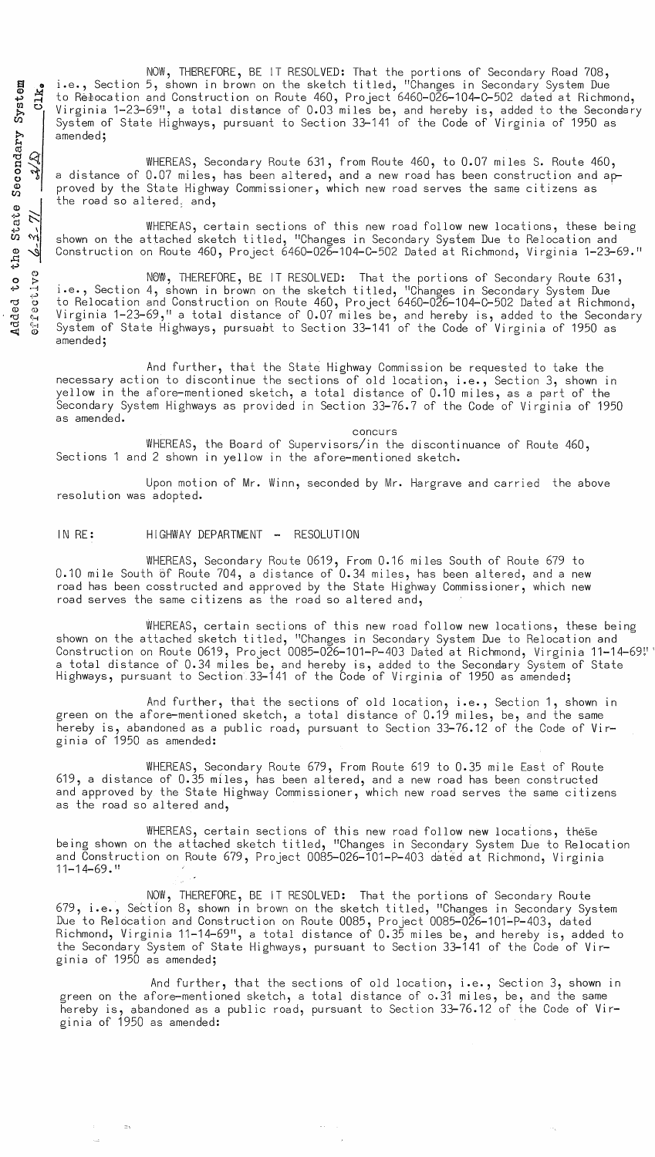NOW, THEREFORE, BE IT RESOLVED: That the portions of Secondary Road 708, i.e., Section 5, shown in brown on the sketch titled, "Changes in Secondary System Due to Relocation and Construction on Route 460, Project 6460-026-104-C-502 dated at Richmond, Virginia 1-23-69", a total distance of 0.03 miles be, and hereby is, added to the Secondary System of State Highways, pursuant to Section 33-141 of the Code of Virginia of 1950 as amended;

WHEREAS, Secondary Route 631, from Route 460, to 0.07 miles S. Route 460, a distance of 0.07 miles, has been altered, and a new road has been construction and approved by the State Highway Commissioner, which new road serves the same citizens as the road so altered, and,

WHEREAS, certain sections of this new road follow new locations, these being shown on the attached sketch titled, "Changes in Secondary System Due to Relocation and Construction on Route 460, Project 6460-026-104-C-502 Dated at Richmond, Virginia 1-23-69."

NOW, THEREFORE, BE IT RESOLVED: That the portions of Secondary Route 631, i.e., Section 4, shown in brown on the sketch titled, "Changes in Secondary System Due to Relocation and Construction on Route 460, Project 6460-026-104-C-502 Dated at Richmond, Virginia 1-23-69," a total distance of 0.07 miles be, and hereby is, added to the Secondary System of State Highways, pursuabt to Section 33-141 of the Code of Virginia of 1950 as amended;

And further, that the State Highway Commission be requested to take the necessary action to discontinue the sections of old location, i.e., Section 3, shown in yellow in the afore-mentioned sketch, a total distance of 0.10 miles, as a part of the Secondary System Highways as provided in Section 33-76.7 of the Code of Virginia of 1950 as amended.

concurs

WHEREAS, the Board of Supervisors/in the discontinuance of Route 460, Sections 1 and 2 shown in yellow in the afore-mentioned sketch.

Upon motion of Mr. Winn, seconded by Mr. Hargrave and carried the above resolution was adopted.

### IN RE: HIGHWAY DEPARTMENT - RESOLUTION

 $=$ 

WHEREAS, Secondary Route 0619, From 0.16 miles South of Route 679 to 0.10 mile South 6f Route 704, a distance of 0.34 miles, has been altered, and a new road has been cosstructed and approved by the State Highway Commissioner, which new road serves the same citizens as the road so altered and,

WHEREAS, certain sections of this new road follow new locations, these being shown on the attached sketch titled, "Changes in Secondary System Due to Relocation and Construction on Route 0619, Project 0085-026-101-P-403 Dated at Richmond, Virginia 11-14-69!'' a total distance of 0.34 miles be, and hereby is, added to the Secondary System of State Highways, pursuant to Section 33–141 of the Code of Virginia of 1950 as amended;

And further, that the sections of old location, i.e., Section 1, shown in green on the afore-mentioned sketch, a total distance of 0.19 miles, be, and the same hereby is, abandoned as a public road, pursuant to Section 33-76.12 of the Code of Virginia of 1950 as amended:

WHEREAS, Secondary Route 679, From Route 619 to 0.35 mile East of Route 619, a distance of 0.35 miles, has been altered, and a new road has been constructed and approved by the State Highway Commissioner, which new road serves the same citizens as the road so altered and,

WHEREAS, certain sections of this new road follow new locations, these being shown on the attached sketch titled, "Changes in Secondary System Due to Relocation and Construction on Route 679, Project 0085-026-101-P-403 dated at Richmond, Virginia 11-14-69. 11

NOW, THEREFORE, BE iT RESOLVED: That the portions of Secondary Route 679, i.e., Section 8, shown in brown on the sketch titled, "Changes in Secondary System Due to Relocation and Construction on Route 0085, Project 0085-026-101-P-403, dated Richmond, Virginia 11-14-69", a total distance of 0.35 miles be, and hereby is, added to the Secondary System of State Highways, pursuant to Section 33-141 of the Code of Virginia of 1950 as amended;

And further, that the sections of old location, i.e., Section 3, shown in green on the afore-mentioned sketch, a total distance of 0.31 miles, be, and the same hereby is, abandoned as a public road, pursuant to Section 33-76.12 of the Code of Virginia of 1950 as amended: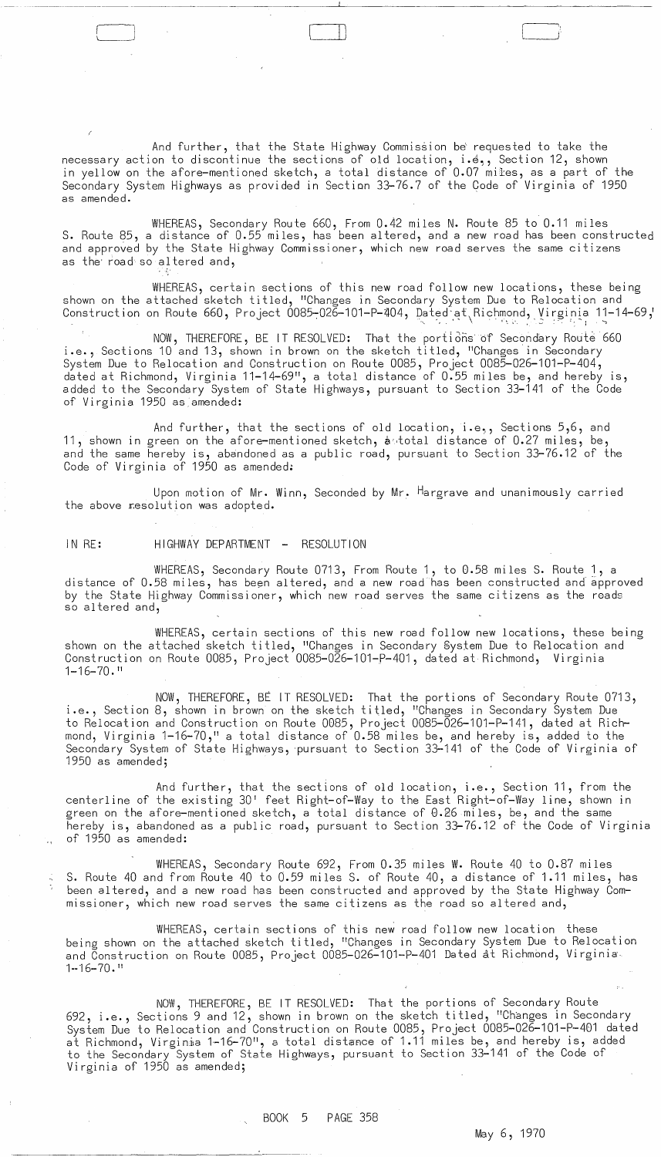'----J Ii )

And further, that the State Highway Commission be' requested to take the necessary action to discontinue the sections of old location, i.e., Section 12, shown in yellow on the afore-mentioned sketch, a total distance of 0.07 miles, as a part of the Secondary System Highways as provided in Section 33-76.7 of the Code of Virginia of 1950 as amended.

WHEREAS, Secondary Route 660, From 0.42 miles N. Route 85 to 0.11 miles S. Route 85, a distance of 0.55 miles, has been altered, and a new road has been constructed and approved by the State Highway Commissioner, which new road serves the same citizens as the road so altered and,

WHEREAS, certain sections of this new road follow new locations, these being shown on the attached sketch titled, "Changes in Secondary System Due to Relocation and Construction on Route 660, Project 0085-026-101-P-404, Dated-at Richmond, Virginia 11-14-69,'  $\overline{\phantom{a}}$ 

NOW, THEREFORE, BE IT RESOLVED: That the portions of Secondary Route 660 i.e., Sections 10 and 13, shown in brown on the sketch titled, "Changes in Secondary System Due to Relocation and Construction on Route 0085, Project 0085-026-101-P-404, dated at Richmond, Virginia 11-14-69", a total distance of 0.55 miles be, and hereby is, added to the Secondary System of State Highways, pursuant to Section 33-141 of the Code of Virginia 1950 as amended:

And further, that the sections of old location, i.e., Sections 5,6, and 11, shown in green on the afore-mentioned sketch, antotal distance of 0.27 miles, be, and the same  $\bar{h}$ ereby is, abandoned as a public road, pursuant to Section 33-76.12 of the Code of Virginia of 1950 as amended:

Upon motion of Mr. Winn, Seconded by Mr. Hargrave and unanimously carried the above resolution was adopted.

IN RE: HIGHWAY DEPARTMENT - RESOLUTION

WHEREAS, Secondary Route 0713, From Route 1, to 0.58 miles S. Route 1, a distance of 0.58 miles, has been altered, and a new road has been constructed and approved by the State Highway Commissioner, which new road serves the same citizens as the roads so al tered and,

WHEREAS, certain sections of this new road follow new locations, these being shown on the attached sketch ti tled, "Changes in Secondary System Due to Relocation and Construction on Route 0085, Project 0085-026-101-P-401, dated at Richmond, Virginia 1-16-70. "

NOW, THEREFORE, BE IT RESOLVED: That the portions of Secondary Route 0713, i.e., Section 8, shown in brown on the sketch ti tled, "Changes in Secondary System Due to Relocation and Construction on Route 0085, Project 0085-026-101-P-141, dated at Richmond, Virginia 1-16-70," a total distance of  $0.58$  miles be, and hereby is, added to the Secondary System of State Highways, 'pursuant to Section 33-141 of the Code of Virginia of 1950 as amended;

And further, that the sections of old location, i.e., Section 11, from the centerline of the existing 30' feet Right-of-Way to the East Right-of-Way line, shown in green on the afore—mentioned sketch, a total distance of 0.26 miles, be, and the same hereby is, abandoned as a public road, pursuant to Section 33—76.12 of the Code of Virginia of 1950 as amended:

WHEREAS, Secondary Route 692, From 0.35 miles W. Route 40 to 0.87 miles S. Route 40 and from Route 40 to 0.59 miles S. of Route 40, a distance of 1.11 miles, has been altered, and a new road has been constructed and approved by the State Highway Commissioner, which new road serves the same citizens as the road so altered and,

WHEREAS, certain sections of this new road follow neW location these being shown on the attached sketch titled, "Changes in Secondary System Due to Relocation and Construction on Route 0085, Project 0085-026-101-P-401 Dated at Richmond, Virginia 1--16-70. "

NOW, THEREFORE, BE IT RESOLVED: That the portions of Secondary Route 692, i.e., Sections 9 and 12, shown in brown on the sketch titled, "Changes in Secondary System Due to Relocation and Construction on Route 0085, Project 0085-026-101-P-401 dated at Richmond, Virginia 1-16-70", a total distance of 1.11 miles be, and hereby is, added to the Secondary System of State Highways, pursuant to Section 33-141 of the Code of Virginia of 1950 as amended;